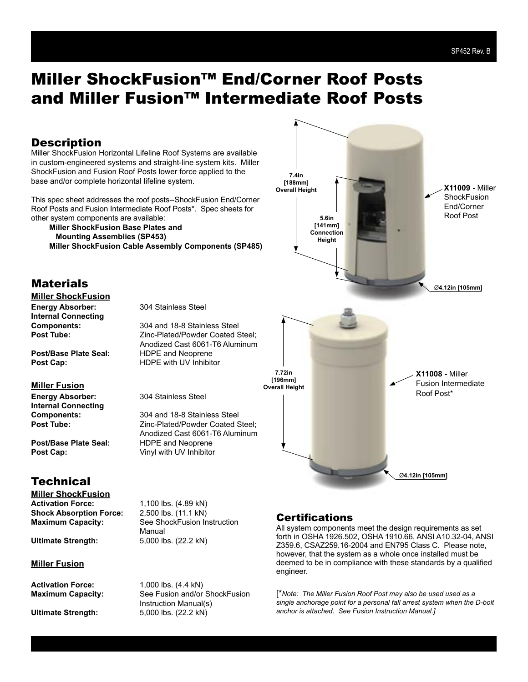### **Description**

Miller ShockFusion Horizontal Lifeline Roof Systems are available in custom-engineered systems and straight-line system kits. Miller ShockFusion and Fusion Roof Posts lower force applied to the base and/or complete horizontal lifeline system.

This spec sheet addresses the roof posts--ShockFusion End/Corner Roof Posts and Fusion Intermediate Roof Posts\*. Spec sheets for other system components are available:

**Miller ShockFusion Base Plates and Mounting Assemblies (SP453) Miller ShockFusion Cable Assembly Components (SP485)**



#### **Materials Miller ShockFusion**

**Energy Absorber:** 304 Stainless Steel **Internal Connecting**

**Components:** 304 and 18-8 Stainless Steel<br> **Post Tube:** 7inc-Plated/Powder Coated S **Post Tube:** Zinc-Plated/Powder Coated Steel; Anodized Cast 6061-T6 Aluminum

> Zinc-Plated/Powder Coated Steel: Anodized Cast 6061-T6 Aluminum

**Post/Base Plate Seal:** HDPE and Neoprene **Post Cap:** HDPE with UV Inhibitor

#### **Miller Fusion**

**Energy Absorber:** 304 Stainless Steel **Internal Connecting Components:** 304 and 18-8 Stainless Steel<br> **Post Tube:** 7inc-Plated/Powder Coated S

**Post/Base Plate Seal:** HDPE and Neoprene **Post Cap:** Vinyl with UV Inhibitor

### **Technical**

**Miller ShockFusion**<br>Activation Force: **Shock Absorption Force:** 

**Miller Fusion**

Activation Force: 1,000 lbs. (4.4 kN)

**Activation Force:** 1,100 lbs. (4.89 kN) **Maximum Capacity:** See ShockFusion Instruction Manual **Ultimate Strength:** 5,000 lbs. (22.2 kN)

**Maximum Capacity:** See Fusion and/or ShockFusion Instruction Manual(s) **Ultimate Strength:** 5,000 lbs. (22.2 kN)

### **Certifications**

All system components meet the design requirements as set forth in OSHA 1926.502, OSHA 1910.66, ANSI A10.32-04, ANSI Z359.6, CSAZ259.16-2004 and EN795 Class C. Please note, however, that the system as a whole once installed must be deemed to be in compliance with these standards by a qualified engineer.

[\**Note: The Miller Fusion Roof Post may also be used used as a single anchorage point for a personal fall arrest system when the D-bolt anchor is attached. See Fusion Instruction Manual.]*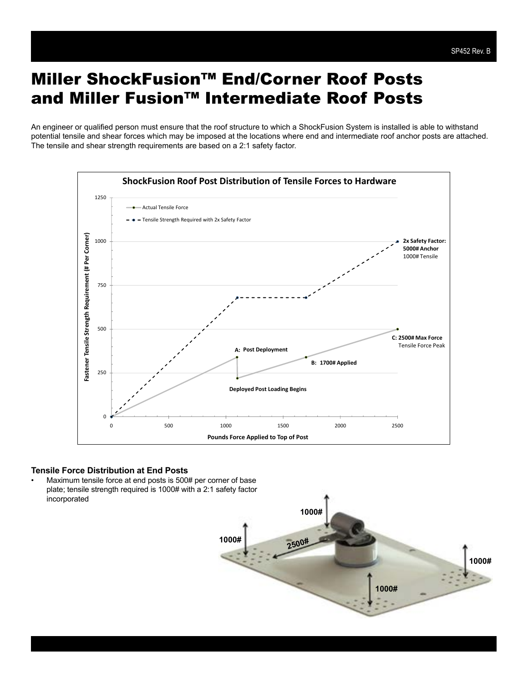An engineer or qualified person must ensure that the roof structure to which a ShockFusion System is installed is able to withstand potential tensile and shear forces which may be imposed at the locations where end and intermediate roof anchor posts are attached. The tensile and shear strength requirements are based on a 2:1 safety factor.



#### **Tensile Force Distribution at End Posts**

Maximum tensile force at end posts is 500# per corner of base plate; tensile strength required is 1000# with a 2:1 safety factor incorporated

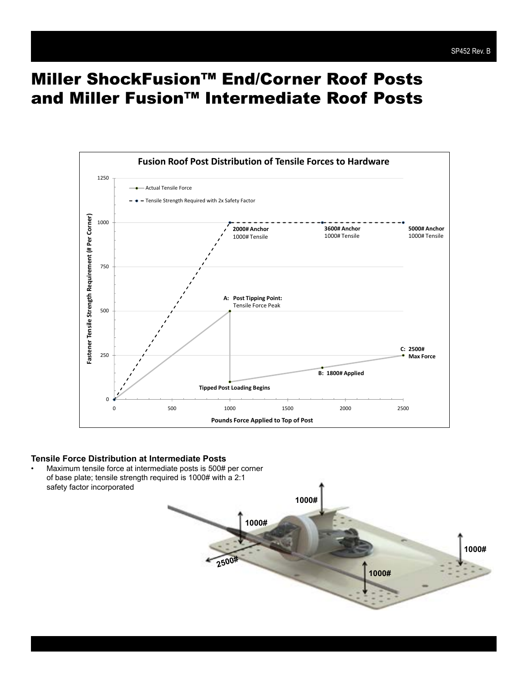

#### **Tensile Force Distribution at Intermediate Posts**

• Maximum tensile force at intermediate posts is 500# per corner of base plate; tensile strength required is 1000# with a 2:1 safety factor incorporated